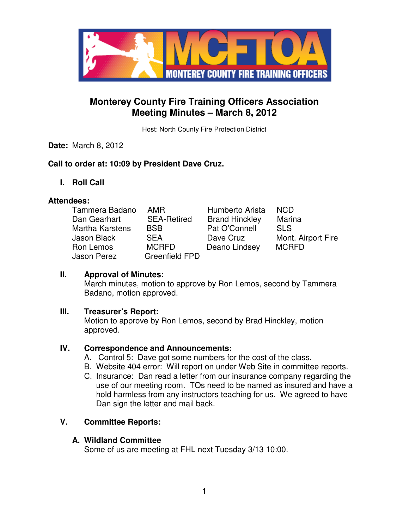

# **Monterey County Fire Training Officers Association Meeting Minutes – March 8, 2012**

Host: North County Fire Protection District

# **Date:** March 8, 2012

# **Call to order at: 10:09 by President Dave Cruz.**

**I. Roll Call** 

### **Attendees:**

| Tammera Badano         | <b>AMR</b>            | Humberto Arista       | <b>NCD</b>         |
|------------------------|-----------------------|-----------------------|--------------------|
| Dan Gearhart           | <b>SEA-Retired</b>    | <b>Brand Hinckley</b> | Marina             |
| <b>Martha Karstens</b> | <b>BSB</b>            | Pat O'Connell         | <b>SLS</b>         |
| Jason Black            | <b>SEA</b>            | Dave Cruz             | Mont. Airport Fire |
| Ron Lemos              | <b>MCRFD</b>          | Deano Lindsey         | <b>MCRFD</b>       |
| Jason Perez            | <b>Greenfield FPD</b> |                       |                    |

### **II. Approval of Minutes:**

March minutes, motion to approve by Ron Lemos, second by Tammera Badano, motion approved.

### **III. Treasurer's Report:**

Motion to approve by Ron Lemos, second by Brad Hinckley, motion approved.

### **IV. Correspondence and Announcements:**

- A. Control 5: Dave got some numbers for the cost of the class.
- B. Website 404 error: Will report on under Web Site in committee reports.
- C. Insurance: Dan read a letter from our insurance company regarding the use of our meeting room. TOs need to be named as insured and have a hold harmless from any instructors teaching for us. We agreed to have Dan sign the letter and mail back.

# **V. Committee Reports:**

### **A. Wildland Committee**

Some of us are meeting at FHL next Tuesday 3/13 10:00.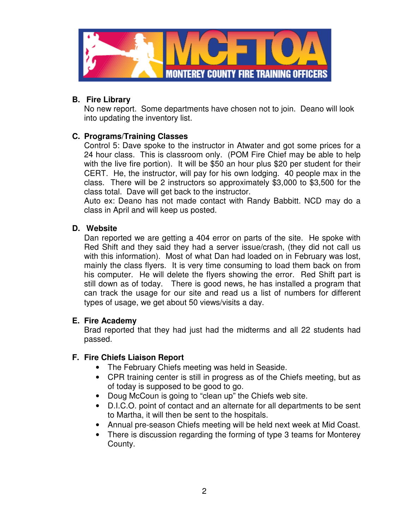

# **B. Fire Library**

No new report. Some departments have chosen not to join. Deano will look into updating the inventory list.

# **C. Programs/Training Classes**

Control 5: Dave spoke to the instructor in Atwater and got some prices for a 24 hour class. This is classroom only. (POM Fire Chief may be able to help with the live fire portion). It will be \$50 an hour plus \$20 per student for their CERT. He, the instructor, will pay for his own lodging. 40 people max in the class. There will be 2 instructors so approximately \$3,000 to \$3,500 for the class total. Dave will get back to the instructor.

Auto ex: Deano has not made contact with Randy Babbitt. NCD may do a class in April and will keep us posted.

### **D. Website**

Dan reported we are getting a 404 error on parts of the site. He spoke with Red Shift and they said they had a server issue/crash, (they did not call us with this information). Most of what Dan had loaded on in February was lost, mainly the class flyers. It is very time consuming to load them back on from his computer. He will delete the flyers showing the error. Red Shift part is still down as of today. There is good news, he has installed a program that can track the usage for our site and read us a list of numbers for different types of usage, we get about 50 views/visits a day.

### **E. Fire Academy**

Brad reported that they had just had the midterms and all 22 students had passed.

# **F. Fire Chiefs Liaison Report**

- The February Chiefs meeting was held in Seaside.
- CPR training center is still in progress as of the Chiefs meeting, but as of today is supposed to be good to go.
- Doug McCoun is going to "clean up" the Chiefs web site.
- D.I.C.O. point of contact and an alternate for all departments to be sent to Martha, it will then be sent to the hospitals.
- Annual pre-season Chiefs meeting will be held next week at Mid Coast.
- There is discussion regarding the forming of type 3 teams for Monterey County.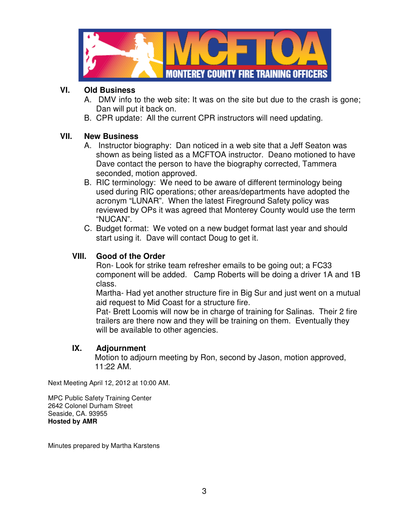

# **VI. Old Business**

- A. DMV info to the web site: It was on the site but due to the crash is gone; Dan will put it back on.
- B. CPR update: All the current CPR instructors will need updating.

# **VII. New Business**

- A. Instructor biography: Dan noticed in a web site that a Jeff Seaton was shown as being listed as a MCFTOA instructor. Deano motioned to have Dave contact the person to have the biography corrected, Tammera seconded, motion approved.
- B. RIC terminology: We need to be aware of different terminology being used during RIC operations; other areas/departments have adopted the acronym "LUNAR". When the latest Fireground Safety policy was reviewed by OPs it was agreed that Monterey County would use the term "NUCAN".
- C. Budget format: We voted on a new budget format last year and should start using it. Dave will contact Doug to get it.

# **VIII. Good of the Order**

Ron- Look for strike team refresher emails to be going out; a FC33 component will be added. Camp Roberts will be doing a driver 1A and 1B class.

Martha- Had yet another structure fire in Big Sur and just went on a mutual aid request to Mid Coast for a structure fire.

Pat- Brett Loomis will now be in charge of training for Salinas. Their 2 fire trailers are there now and they will be training on them. Eventually they will be available to other agencies.

# **IX. Adjournment**

 Motion to adjourn meeting by Ron, second by Jason, motion approved, 11:22 AM.

Next Meeting April 12, 2012 at 10:00 AM.

MPC Public Safety Training Center 2642 Colonel Durham Street Seaside, CA. 93955 **Hosted by AMR**

Minutes prepared by Martha Karstens